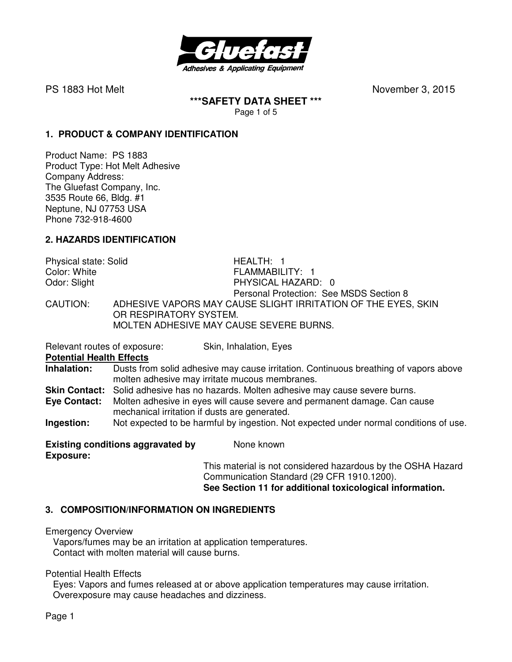

**\*\*\*SAFETY DATA SHEET \*\*\***  Page 1 of 5

## **1. PRODUCT & COMPANY IDENTIFICATION**

Product Name: PS 1883 Product Type: Hot Melt Adhesive Company Address: The Gluefast Company, Inc. 3535 Route 66, Bldg. #1 Neptune, NJ 07753 USA Phone 732-918-4600

## **2. HAZARDS IDENTIFICATION**

| Physical state: Solid | HEALTH: 1                                                     |
|-----------------------|---------------------------------------------------------------|
| Color: White          | FLAMMABILITY: 1                                               |
| Odor: Slight          | PHYSICAL HAZARD: 0                                            |
|                       | Personal Protection: See MSDS Section 8                       |
| CAUTION:              | ADHESIVE VAPORS MAY CAUSE SLIGHT IRRITATION OF THE EYES, SKIN |
|                       | OR RESPIRATORY SYSTEM.                                        |
|                       | MOLTEN ADHESIVE MAY CAUSE SEVERE BURNS.                       |

Relevant routes of exposure: Skin, Inhalation, Eyes

**Potential Health Effects** 

**Inhalation:** Dusts from solid adhesive may cause irritation. Continuous breathing of vapors above molten adhesive may irritate mucous membranes.

**Skin Contact:** Solid adhesive has no hazards. Molten adhesive may cause severe burns.

**Eye Contact:** Molten adhesive in eyes will cause severe and permanent damage. Can cause mechanical irritation if dusts are generated.

**Ingestion:** Not expected to be harmful by ingestion. Not expected under normal conditions of use.

**Existing conditions aggravated by Mone known Exposure:** 

This material is not considered hazardous by the OSHA Hazard Communication Standard (29 CFR 1910.1200). **See Section 11 for additional toxicological information.** 

# **3. COMPOSITION/INFORMATION ON INGREDIENTS**

Emergency Overview

Vapors/fumes may be an irritation at application temperatures. Contact with molten material will cause burns.

Potential Health Effects

 Eyes: Vapors and fumes released at or above application temperatures may cause irritation. Overexposure may cause headaches and dizziness.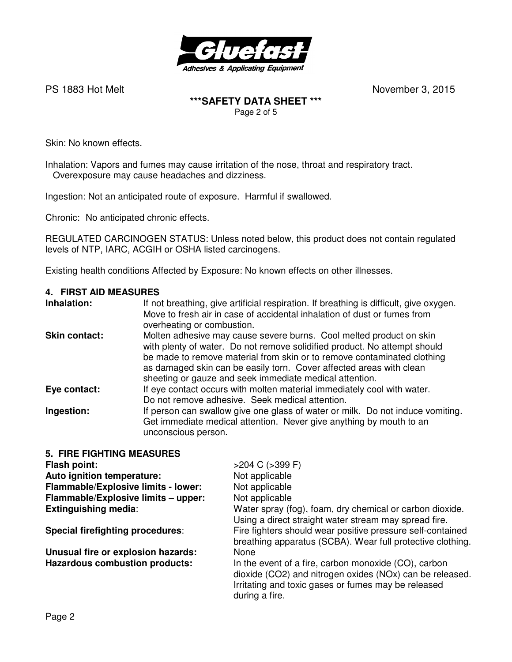

### **\*\*\*SAFETY DATA SHEET \*\*\***  Page 2 of 5

Skin: No known effects.

Inhalation: Vapors and fumes may cause irritation of the nose, throat and respiratory tract. Overexposure may cause headaches and dizziness.

Ingestion: Not an anticipated route of exposure. Harmful if swallowed.

Chronic: No anticipated chronic effects.

REGULATED CARCINOGEN STATUS: Unless noted below, this product does not contain regulated levels of NTP, IARC, ACGIH or OSHA listed carcinogens.

Existing health conditions Affected by Exposure: No known effects on other illnesses.

#### **4. FIRST AID MEASURES**

### **5. FIRE FIGHTING MEASURES**

| Flash point:                          | $>204$ C ( $>399$ F)                                                                                                                                                                      |
|---------------------------------------|-------------------------------------------------------------------------------------------------------------------------------------------------------------------------------------------|
| Auto ignition temperature:            | Not applicable                                                                                                                                                                            |
| Flammable/Explosive limits - lower:   | Not applicable                                                                                                                                                                            |
| Flammable/Explosive limits - upper:   | Not applicable                                                                                                                                                                            |
| <b>Extinguishing media:</b>           | Water spray (fog), foam, dry chemical or carbon dioxide.<br>Using a direct straight water stream may spread fire.                                                                         |
| Special firefighting procedures:      | Fire fighters should wear positive pressure self-contained<br>breathing apparatus (SCBA). Wear full protective clothing.                                                                  |
| Unusual fire or explosion hazards:    | None                                                                                                                                                                                      |
| <b>Hazardous combustion products:</b> | In the event of a fire, carbon monoxide (CO), carbon<br>dioxide (CO2) and nitrogen oxides (NOx) can be released.<br>Irritating and toxic gases or fumes may be released<br>during a fire. |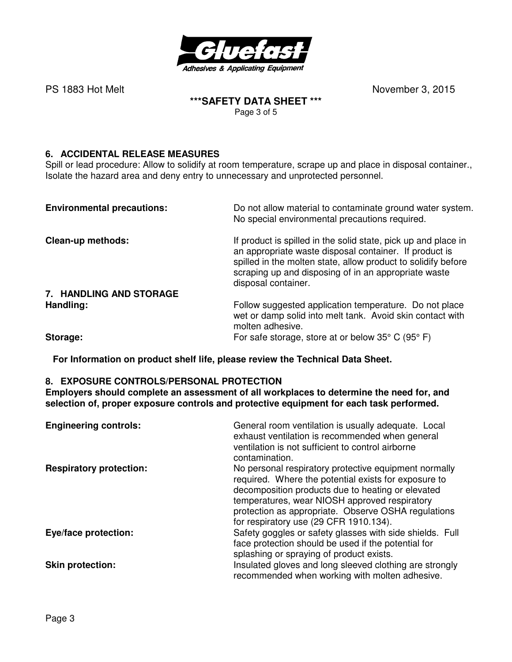

#### **\*\*\*SAFETY DATA SHEET \*\*\***  Page 3 of 5

# **6. ACCIDENTAL RELEASE MEASURES**

Spill or lead procedure: Allow to solidify at room temperature, scrape up and place in disposal container., Isolate the hazard area and deny entry to unnecessary and unprotected personnel.

| <b>Environmental precautions:</b> | Do not allow material to contaminate ground water system.<br>No special environmental precautions required.                                                                                                                                                              |
|-----------------------------------|--------------------------------------------------------------------------------------------------------------------------------------------------------------------------------------------------------------------------------------------------------------------------|
| Clean-up methods:                 | If product is spilled in the solid state, pick up and place in<br>an appropriate waste disposal container. If product is<br>spilled in the molten state, allow product to solidify before<br>scraping up and disposing of in an appropriate waste<br>disposal container. |
| 7. HANDLING AND STORAGE           |                                                                                                                                                                                                                                                                          |
| Handling:                         | Follow suggested application temperature. Do not place<br>wet or damp solid into melt tank. Avoid skin contact with<br>molten adhesive.                                                                                                                                  |
| Storage:                          | For safe storage, store at or below $35^{\circ}$ C (95 $^{\circ}$ F)                                                                                                                                                                                                     |

**For Information on product shelf life, please review the Technical Data Sheet.**

### **8. EXPOSURE CONTROLS/PERSONAL PROTECTION**

**Employers should complete an assessment of all workplaces to determine the need for, and selection of, proper exposure controls and protective equipment for each task performed.** 

| <b>Engineering controls:</b>   | General room ventilation is usually adequate. Local<br>exhaust ventilation is recommended when general<br>ventilation is not sufficient to control airborne<br>contamination.                                                                                                                                        |
|--------------------------------|----------------------------------------------------------------------------------------------------------------------------------------------------------------------------------------------------------------------------------------------------------------------------------------------------------------------|
| <b>Respiratory protection:</b> | No personal respiratory protective equipment normally<br>required. Where the potential exists for exposure to<br>decomposition products due to heating or elevated<br>temperatures, wear NIOSH approved respiratory<br>protection as appropriate. Observe OSHA regulations<br>for respiratory use (29 CFR 1910.134). |
| Eye/face protection:           | Safety goggles or safety glasses with side shields. Full<br>face protection should be used if the potential for<br>splashing or spraying of product exists.                                                                                                                                                          |
| <b>Skin protection:</b>        | Insulated gloves and long sleeved clothing are strongly<br>recommended when working with molten adhesive.                                                                                                                                                                                                            |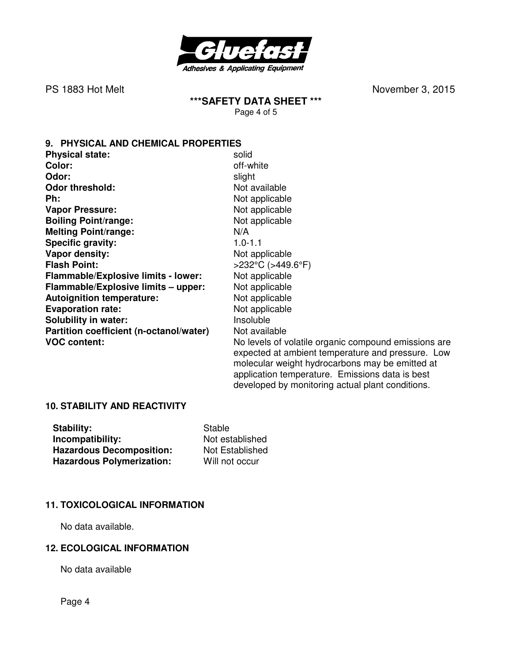

**\*\*\*SAFETY DATA SHEET \*\*\***  Page 4 of 5

**9. PHYSICAL AND CHEMICAL PROPERTIES** 

| <b>Physical state:</b>                     | solid                                                                                                                                                        |
|--------------------------------------------|--------------------------------------------------------------------------------------------------------------------------------------------------------------|
| Color:                                     | off-white                                                                                                                                                    |
| Odor:                                      | slight                                                                                                                                                       |
| <b>Odor threshold:</b>                     | Not available                                                                                                                                                |
| Ph:                                        | Not applicable                                                                                                                                               |
| <b>Vapor Pressure:</b>                     | Not applicable                                                                                                                                               |
| <b>Boiling Point/range:</b>                | Not applicable                                                                                                                                               |
| <b>Melting Point/range:</b>                | N/A                                                                                                                                                          |
| <b>Specific gravity:</b>                   | $1.0 - 1.1$                                                                                                                                                  |
| Vapor density:                             | Not applicable                                                                                                                                               |
| <b>Flash Point:</b>                        | $>232^{\circ}$ C ( $>449.6^{\circ}$ F)                                                                                                                       |
| <b>Flammable/Explosive limits - lower:</b> | Not applicable                                                                                                                                               |
| Flammable/Explosive limits - upper:        | Not applicable                                                                                                                                               |
| <b>Autoignition temperature:</b>           | Not applicable                                                                                                                                               |
| <b>Evaporation rate:</b>                   | Not applicable                                                                                                                                               |
| <b>Solubility in water:</b>                | Insoluble                                                                                                                                                    |
| Partition coefficient (n-octanol/water)    | Not available                                                                                                                                                |
| <b>VOC content:</b>                        | No levels of volatile organic compound emissions are<br>expected at ambient temperature and pressure. Low<br>molecular weight hydrocarbons may be emitted at |

application temperature. Emissions data is best developed by monitoring actual plant conditions.

#### **10. STABILITY AND REACTIVITY**

| Stability:                       | Stable          |
|----------------------------------|-----------------|
| Incompatibility:                 | Not established |
| <b>Hazardous Decomposition:</b>  | Not Established |
| <b>Hazardous Polymerization:</b> | Will not occur  |

### **11. TOXICOLOGICAL INFORMATION**

No data available.

## **12. ECOLOGICAL INFORMATION**

No data available

Page 4